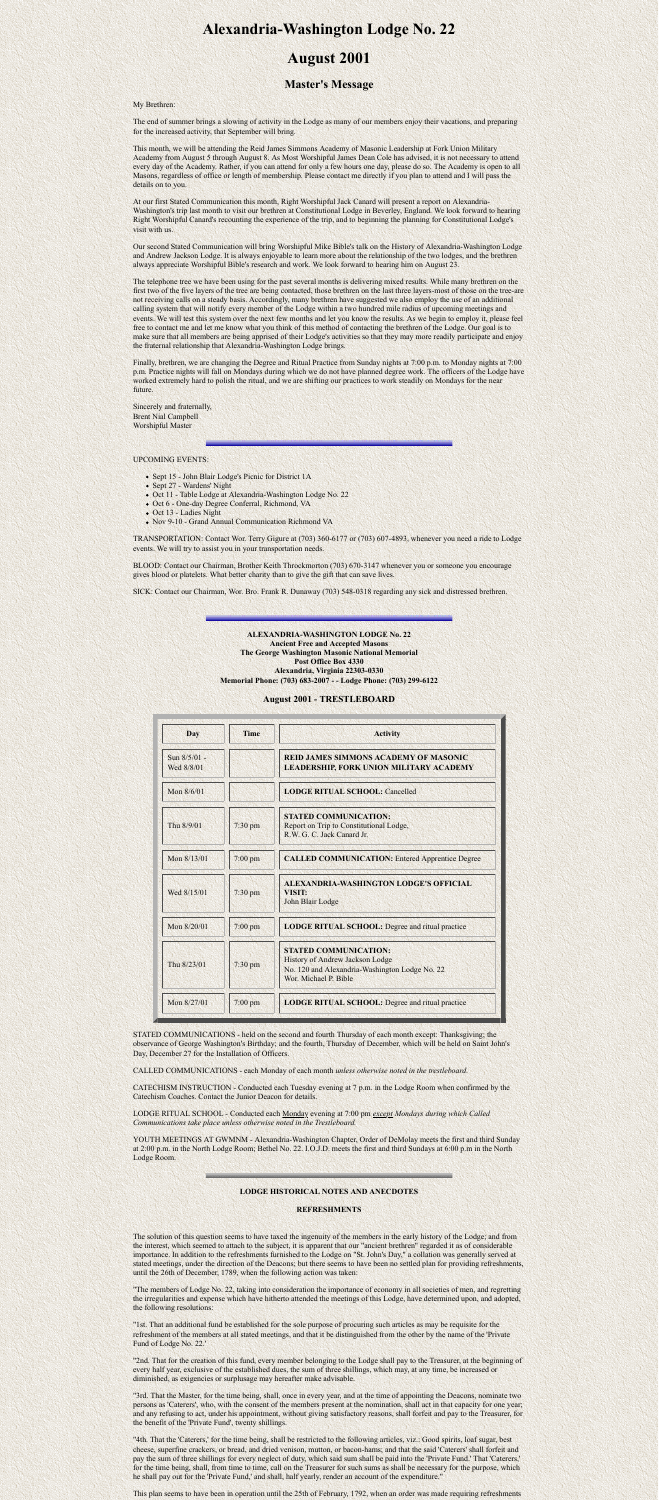# **Alexandria-Washington Lodge No. 22**

# **August 2001**

# **Master's Message**

My Brethren:

The end of summer brings a slowing of activity in the Lodge as many of our members enjoy their vacations, and preparing for the increased activity, that September will bring.

This month, we will be attending the Reid James Simmons Academy of Masonic Leadership at Fork Union Military Academy from August 5 through August 8. As Most Worshipful James Dean Cole has advised, it is not necessary to attend every day of the Academy. Rather, if you can attend for only a few hours one day, please do so. The Academy is open to all Masons, regardless of office or length of membership. Please contact me directly if you plan to attend and I will pass the details on to you.

At our first Stated Communication this month, Right Worshipful Jack Canard will present a report on Alexandria-Washington's trip last month to visit our brethren at Constitutional Lodge in Beverley, England. We look forward to hearing Right Worshipful Canard's recounting the experience of the trip, and to beginning the planning for Constitutional Lodge's visit with us.

Our second Stated Communication will bring Worshipful Mike Bible's talk on the History of Alexandria-Washington Lodge and Andrew Jackson Lodge. It is always enjoyable to learn more about the relationship of the two lodges, and the brethren always appreciate Worshipful Bible's research and work. We look forward to hearing him on August 23.

The telephone tree we have been using for the past several months is delivering mixed results. While many brethren on the first two of the five layers of the tree are being contacted, those brethren on the last three layers-most of those on the tree-are not receiving calls on a steady basis. Accordingly, many brethren have suggested we also employ the use of an additional calling system that will notify every member of the Lodge within a two hundred mile radius of upcoming meetings and events. We will test this system over the next few months and let you know the results. As we begin to employ it, please feel free to contact me and let me know what you think of this method of contacting the brethren of the Lodge. Our goal is to make sure that all members are being apprised of their Lodge's activities so that they may more readily participate and enjoy the fraternal relationship that Alexandria-Washington Lodge brings.

Finally, brethren, we are changing the Degree and Ritual Practice from Sunday nights at 7:00 p.m. to Monday nights at 7:00 p.m. Practice nights will fall on Mondays during which we do not have planned degree work. The officers of the Lodge have worked extremely hard to polish the ritual, and we are shifting our practices to work steadily on Mondays for the near future.

Sincerely and fraternally, Brent Nial Campbell Worshipful Master

### UPCOMING EVENTS:

- Sept 15 John Blair Lodge's Picnic for District 1A
- Sept 27 Wardens' Night
- Oct 11 Table Lodge at Alexandria-Washington Lodge No. 22
- Oct 6 One-day Degree Conferral, Richmond, VA
- Oct 13 Ladies Night
- Nov 9-10 Grand Annual Communication Richmond VA

TRANSPORTATION: Contact Wor. Terry Gigure at (703) 360-6177 or (703) 607-4893, whenever you need a ride to Lodge events. We will try to assist you in your transportation needs.

BLOOD: Contact our Chairman, Brother Keith Throckmorton (703) 670-3147 whenever you or someone you encourage gives blood or platelets. What better charity than to give the gift that can save lives.

### **ALEXANDRIA-WASHINGTON LODGE No. 22 Ancient Free and Accepted Masons The George Washington Masonic National Memorial Post Office Box 4330 Alexandria, Virginia 22303-0330 Memorial Phone: (703) 683-2007 - - Lodge Phone: (703) 299-6122**

## **August 2001 - TRESTLEBOARD**

| <b>Day</b>                 | <b>Time</b> | <b>Activity</b>                                                                                                                            |
|----------------------------|-------------|--------------------------------------------------------------------------------------------------------------------------------------------|
| Sun 8/5/01 -<br>Wed 8/8/01 |             | <b>REID JAMES SIMMONS ACADEMY OF MASONIC</b><br><b>LEADERSHIP, FORK UNION MILITARY ACADEMY</b>                                             |
| Mon 8/6/01                 |             | <b>LODGE RITUAL SCHOOL: Cancelled</b>                                                                                                      |
| Thu 8/9/01                 | $7:30$ pm   | <b>STATED COMMUNICATION:</b><br>Report on Trip to Constitutional Lodge,<br>R.W. G. C. Jack Canard Jr.                                      |
| Mon 8/13/01                | $7:00$ pm   | <b>CALLED COMMUNICATION: Entered Apprentice Degree</b>                                                                                     |
| Wed 8/15/01                | $7:30$ pm   | ALEXANDRIA-WASHINGTON LODGE'S OFFICIAL<br><b>VISIT:</b><br>John Blair Lodge                                                                |
| Mon 8/20/01                | $7:00$ pm   | <b>LODGE RITUAL SCHOOL:</b> Degree and ritual practice                                                                                     |
| Thu 8/23/01                | $7:30$ pm   | <b>STATED COMMUNICATION:</b><br>History of Andrew Jackson Lodge<br>No. 120 and Alexandria-Washington Lodge No. 22<br>Wor. Michael P. Bible |
| Mon 8/27/01                | $7:00$ pm   | <b>LODGE RITUAL SCHOOL:</b> Degree and ritual practice                                                                                     |

STATED COMMUNICATIONS - held on the second and fourth Thursday of each month except: Thanksgiving; the observance of George Washington's Birthday; and the fourth, Thursday of December, which will be held on Saint John's Day, December 27 for the Installation of Officers.

CALLED COMMUNICATIONS - each Monday of each month *unless otherwise noted in the trestleboard.*

CATECHISM INSTRUCTION - Conducted each Tuesday evening at 7 p.m. in the Lodge Room when confirmed by the Catechism Coaches. Contact the Junior Deacon for details.

LODGE RITUAL SCHOOL - Conducted each Monday evening at 7:00 pm *except Mondays during which Called Communications take place unless otherwise noted in the Trestleboard.*

YOUTH MEETINGS AT GWMNM - Alexandria-Washington Chapter, Order of DeMolay meets the first and third Sunday at 2:00 p.m. in the North Lodge Room; Bethel No. 22. I.O.J.D. meets the first and third Sundays at 6:00 p.m in the North Lodge Room.

#### **LODGE HISTORICAL NOTES AND ANECDOTES**

#### **REFRESHMENTS**

The solution of this question seems to have taxed the ingenuity of the members in the early history of the Lodge; and from the interest, which seemed to attach to the subject, it is apparent that our "ancient brethren" regarded it as of considerable importance. In addition to the refreshments furnished to the Lodge on "St. John's Day," a collation was generally served at stated meetings, under the direction of the Deacons; but there seems to have been no settled plan for providing refreshments, until the 26th of December, 1789, when the following action was taken:

"The members of Lodge No. 22, taking into consideration the importance of economy in all societies of men, and regretting the irregularities and expense which have hitherto attended the meetings of this Lodge, have determined upon, and adopted, the following resolutions:

"1st. That an additional fund be established for the sole purpose of procuring such articles as may be requisite for the refreshment of the members at all stated meetings, and that it be distinguished from the other by the name of the 'Private Fund of Lodge No. 22.'

"2nd. That for the creation of this fund, every member belonging to the Lodge shall pay to the Treasurer, at the beginning of every half year, exclusive of the established dues, the sum of three shillings, which may, at any time, be increased or diminished, as exigencies or surplusage may hereafter make advisable.

"3rd. That the Master, for the time being, shall, once in every year, and at the time of appointing the Deacons, nominate two persons as 'Caterers', who, with the consent of the members present at the nomination, shall act in that capacity for one year; and any refusing to act, under his appointment, without giving satisfactory reasons, shall forfeit and pay to the Treasurer, for the benefit of the 'Private Fund', twenty shillings.

"4th. That the 'Caterers,' for the time being, shall be restricted to the following articles, viz.: Good spirits, loaf sugar, best cheese, superfine crackers, or bread, and dried venison, mutton, or bacon-hams; and that the said 'Caterers' shall forfeit and pay the sum of three shillings for every neglect of duty, which said sum shall be paid into the 'Private Fund.' That 'Caterers,' for the time being, shall, from time to time, call on the Treasurer for such sums as shall be necessary for the purpose, which he shall pay out for the 'Private Fund,' and shall, half yearly, render an account of the expenditure."

This plan seems to have been in operation until the 25th of February, 1792, when an order was made requiring refreshments